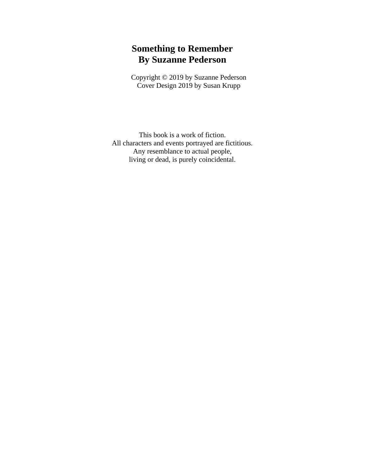### **Something to Remember By Suzanne Pederson**

Copyright © 2019 by Suzanne Pederson Cover Design 2019 by Susan Krupp

This book is a work of fiction. All characters and events portrayed are fictitious. Any resemblance to actual people, living or dead, is purely coincidental.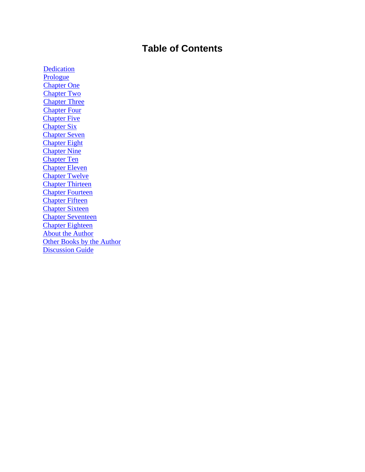## **Table of Contents**

[Dedication](#page-2-0) [Prologue](#page-3-0) [Chapter One](#page-4-0) [Chapter Two](#page-12-0) Chapter Three Chapter Four **Chapter Five** Chapter Six Chapter Seven Chapter Eight Chapter Nine Chapter Ten Chapter Eleven Chapter Twelve Chapter Thirteen Chapter Fourteen Chapter Fifteen Chapter Sixteen Chapter Seventeen Chapter Eighteen About the Author Other Books by the Author Discussion Guide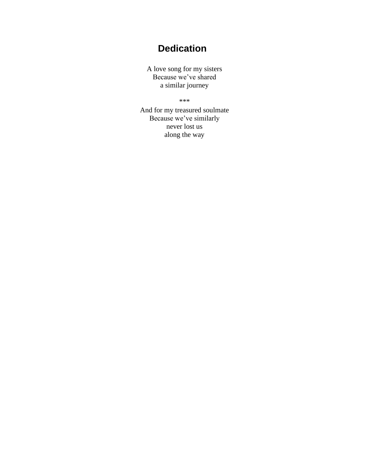# **Dedication**

<span id="page-2-0"></span>A love song for my sisters Because we've shared a similar journey

\*\*\*

And for my treasured soulmate Because we've similarly never lost us along the way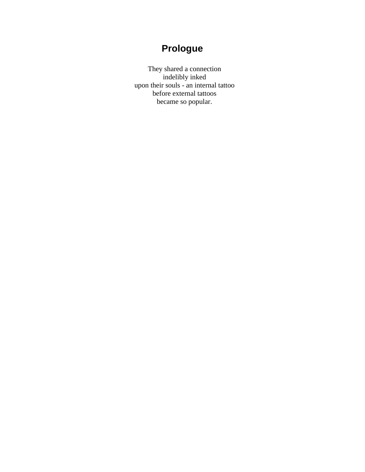## **Prologue**

<span id="page-3-0"></span>They shared a connection indelibly inked upon their souls - an internal tattoo before external tattoos became so popular.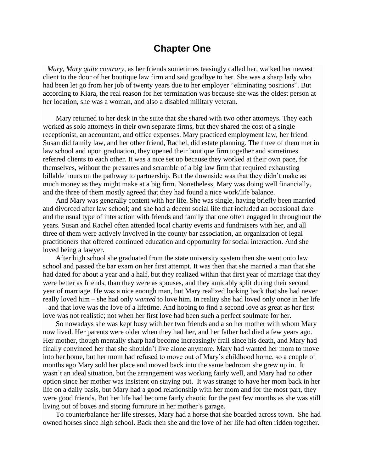#### **Chapter One**

<span id="page-4-0"></span>*Mary, Mary quite contrary*, as her friends sometimes teasingly called her, walked her newest client to the door of her boutique law firm and said goodbye to her. She was a sharp lady who had been let go from her job of twenty years due to her employer "eliminating positions". But according to Kiara, the real reason for her termination was because she was the oldest person at her location, she was a woman, and also a disabled military veteran.

Mary returned to her desk in the suite that she shared with two other attorneys. They each worked as solo attorneys in their own separate firms, but they shared the cost of a single receptionist, an accountant, and office expenses. Mary practiced employment law, her friend Susan did family law, and her other friend, Rachel, did estate planning. The three of them met in law school and upon graduation, they opened their boutique firm together and sometimes referred clients to each other. It was a nice set up because they worked at their own pace, for themselves, without the pressures and scramble of a big law firm that required exhausting billable hours on the pathway to partnership. But the downside was that they didn't make as much money as they might make at a big firm. Nonetheless, Mary was doing well financially, and the three of them mostly agreed that they had found a nice work/life balance.

And Mary was generally content with her life. She was single, having briefly been married and divorced after law school; and she had a decent social life that included an occasional date and the usual type of interaction with friends and family that one often engaged in throughout the years. Susan and Rachel often attended local charity events and fundraisers with her, and all three of them were actively involved in the county bar association, an organization of legal practitioners that offered continued education and opportunity for social interaction. And she loved being a lawyer.

After high school she graduated from the state university system then she went onto law school and passed the bar exam on her first attempt. It was then that she married a man that she had dated for about a year and a half, but they realized within that first year of marriage that they were better as friends, than they were as spouses, and they amicably split during their second year of marriage. He was a nice enough man, but Mary realized looking back that she had never really loved him – she had only *wanted* to love him*.* In reality she had loved only once in her life – and that love was the love of a lifetime. And hoping to find a second love as great as her first love was not realistic; not when her first love had been such a perfect soulmate for her.

So nowadays she was kept busy with her two friends and also her mother with whom Mary now lived. Her parents were older when they had her, and her father had died a few years ago. Her mother, though mentally sharp had become increasingly frail since his death, and Mary had finally convinced her that she shouldn't live alone anymore. Mary had wanted her mom to move into her home, but her mom had refused to move out of Mary's childhood home, so a couple of months ago Mary sold her place and moved back into the same bedroom she grew up in. It wasn't an ideal situation, but the arrangement was working fairly well, and Mary had no other option since her mother was insistent on staying put. It was strange to have her mom back in her life on a daily basis, but Mary had a good relationship with her mom and for the most part, they were good friends. But her life had become fairly chaotic for the past few months as she was still living out of boxes and storing furniture in her mother's garage.

To counterbalance her life stresses, Mary had a horse that she boarded across town. She had owned horses since high school. Back then she and the love of her life had often ridden together.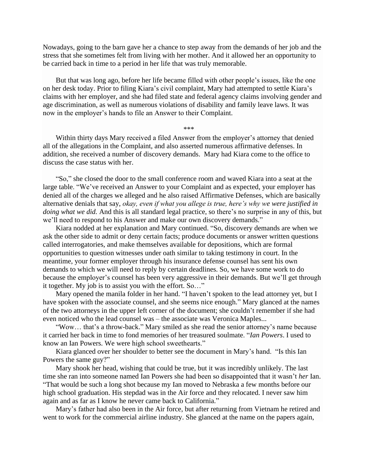Nowadays, going to the barn gave her a chance to step away from the demands of her job and the stress that she sometimes felt from living with her mother. And it allowed her an opportunity to be carried back in time to a period in her life that was truly memorable.

But that was long ago, before her life became filled with other people's issues, like the one on her desk today. Prior to filing Kiara's civil complaint, Mary had attempted to settle Kiara's claims with her employer, and she had filed state and federal agency claims involving gender and age discrimination, as well as numerous violations of disability and family leave laws. It was now in the employer's hands to file an Answer to their Complaint.

\*\*\*

Within thirty days Mary received a filed Answer from the employer's attorney that denied all of the allegations in the Complaint, and also asserted numerous affirmative defenses. In addition, she received a number of discovery demands. Mary had Kiara come to the office to discuss the case status with her.

"So," she closed the door to the small conference room and waved Kiara into a seat at the large table. "We've received an Answer to your Complaint and as expected, your employer has denied all of the charges we alleged and he also raised Affirmative Defenses, which are basically alternative denials that say, *okay, even if what you allege is true, here's why we were justified in doing what we did.* And this is all standard legal practice, so there's no surprise in any of this, but we'll need to respond to his Answer and make our own discovery demands."

Kiara nodded at her explanation and Mary continued. "So, discovery demands are when we ask the other side to admit or deny certain facts; produce documents or answer written questions called interrogatories, and make themselves available for depositions, which are formal opportunities to question witnesses under oath similar to taking testimony in court. In the meantime, your former employer through his insurance defense counsel has sent his own demands to which we will need to reply by certain deadlines. So, we have some work to do because the employer's counsel has been very aggressive in their demands. But we'll get through it together. My job is to assist you with the effort. So…"

Mary opened the manila folder in her hand. "I haven't spoken to the lead attorney yet, but I have spoken with the associate counsel, and she seems nice enough." Mary glanced at the names of the two attorneys in the upper left corner of the document; she couldn't remember if she had even noticed who the lead counsel was – the associate was Veronica Maples...

"Wow… that's a throw-back." Mary smiled as she read the senior attorney's name because it carried her back in time to fond memories of her treasured soulmate. "*Ian Powers*. I used to know an Ian Powers. We were high school sweethearts."

Kiara glanced over her shoulder to better see the document in Mary's hand. "Is this Ian Powers the same guy?"

Mary shook her head, wishing that could be true, but it was incredibly unlikely. The last time she ran into someone named Ian Powers she had been so disappointed that it wasn't *her* Ian. "That would be such a long shot because my Ian moved to Nebraska a few months before our high school graduation. His stepdad was in the Air force and they relocated. I never saw him again and as far as I know he never came back to California."

Mary's father had also been in the Air force, but after returning from Vietnam he retired and went to work for the commercial airline industry. She glanced at the name on the papers again,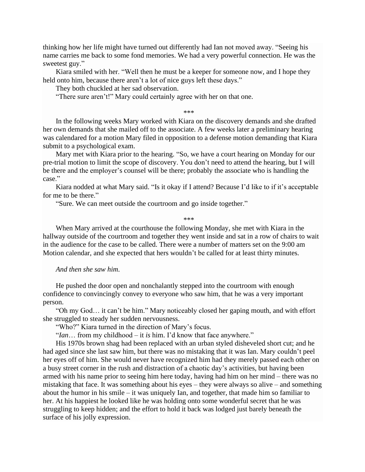thinking how her life might have turned out differently had Ian not moved away. "Seeing his name carries me back to some fond memories. We had a very powerful connection. He was the sweetest guy."

Kiara smiled with her. "Well then he must be a keeper for someone now, and I hope they held onto him, because there aren't a lot of nice guys left these days."

They both chuckled at her sad observation.

"There sure aren't!" Mary could certainly agree with her on that one.

\*\*\*

In the following weeks Mary worked with Kiara on the discovery demands and she drafted her own demands that she mailed off to the associate. A few weeks later a preliminary hearing was calendared for a motion Mary filed in opposition to a defense motion demanding that Kiara submit to a psychological exam.

Mary met with Kiara prior to the hearing. "So, we have a court hearing on Monday for our pre-trial motion to limit the scope of discovery. You don't need to attend the hearing, but I will be there and the employer's counsel will be there; probably the associate who is handling the case."

Kiara nodded at what Mary said. "Is it okay if I attend? Because I'd like to if it's acceptable for me to be there."

"Sure. We can meet outside the courtroom and go inside together."

\*\*\*

When Mary arrived at the courthouse the following Monday, she met with Kiara in the hallway outside of the courtroom and together they went inside and sat in a row of chairs to wait in the audience for the case to be called. There were a number of matters set on the 9:00 am Motion calendar, and she expected that hers wouldn't be called for at least thirty minutes.

*And then she saw him*.

He pushed the door open and nonchalantly stepped into the courtroom with enough confidence to convincingly convey to everyone who saw him, that he was a very important person.

"Oh my God… it can't be him." Mary noticeably closed her gaping mouth, and with effort she struggled to steady her sudden nervousness.

"Who?" Kiara turned in the direction of Mary's focus.

"*Ian*… from my childhood – it *is* him. I'd know that face anywhere."

His 1970s brown shag had been replaced with an urban styled disheveled short cut; and he had aged since she last saw him, but there was no mistaking that it was Ian. Mary couldn't peel her eyes off of him. She would never have recognized him had they merely passed each other on a busy street corner in the rush and distraction of a chaotic day's activities, but having been armed with his name prior to seeing him here today, having had him on her mind – there was no mistaking that face. It was something about his eyes – they were always so alive – and something about the humor in his smile – it was uniquely Ian, and together, that made him so familiar to her. At his happiest he looked like he was holding onto some wonderful secret that he was struggling to keep hidden; and the effort to hold it back was lodged just barely beneath the surface of his jolly expression.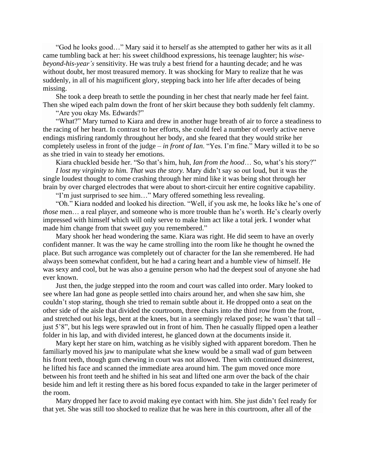"God he looks good…" Mary said it to herself as she attempted to gather her wits as it all came tumbling back at her: his sweet childhood expressions, his teenage laughter; his *wisebeyond-his-year's* sensitivity. He was truly a best friend for a haunting decade; and he was without doubt, her most treasured memory. It was shocking for Mary to realize that he was suddenly, in all of his magnificent glory, stepping back into her life after decades of being missing.

She took a deep breath to settle the pounding in her chest that nearly made her feel faint. Then she wiped each palm down the front of her skirt because they both suddenly felt clammy.

"Are you okay Ms. Edwards?"

"What?" Mary turned to Kiara and drew in another huge breath of air to force a steadiness to the racing of her heart. In contrast to her efforts, she could feel a number of overly active nerve endings misfiring randomly throughout her body, and she feared that they would strike her completely useless in front of the judge – *in front of Ian*. "Yes. I'm fine." Mary willed it to be so as she tried in vain to steady her emotions.

Kiara chuckled beside her. "So that's him, huh, *Ian from the hood*… So, what's his story?"

*I lost my virginity to him. That was the story.* Mary didn't say so out loud, but it was the single loudest thought to come crashing through her mind like it was being shot through her brain by over charged electrodes that were about to short-circuit her entire cognitive capability.

"I'm just surprised to see him…" Mary offered something less revealing.

"Oh." Kiara nodded and looked his direction. "Well, if you ask me, he looks like he's one of *those* men… a real player, and someone who is more trouble than he's worth. He's clearly overly impressed with himself which will only serve to make him act like a total jerk. I wonder what made him change from that sweet guy you remembered."

Mary shook her head wondering the same. Kiara was right. He did seem to have an overly confident manner. It was the way he came strolling into the room like he thought he owned the place. But such arrogance was completely out of character for the Ian she remembered. He had always been somewhat confident, but he had a caring heart and a humble view of himself. He was sexy and cool, but he was also a genuine person who had the deepest soul of anyone she had ever known.

Just then, the judge stepped into the room and court was called into order. Mary looked to see where Ian had gone as people settled into chairs around her, and when she saw him, she couldn't stop staring, though she tried to remain subtle about it. He dropped onto a seat on the other side of the aisle that divided the courtroom, three chairs into the third row from the front, and stretched out his legs, bent at the knees, but in a seemingly relaxed pose; he wasn't that tall – just 5'8", but his legs were sprawled out in front of him. Then he casually flipped open a leather folder in his lap, and with divided interest, he glanced down at the documents inside it.

Mary kept her stare on him, watching as he visibly sighed with apparent boredom. Then he familiarly moved his jaw to manipulate what she knew would be a small wad of gum between his front teeth, though gum chewing in court was not allowed. Then with continued disinterest, he lifted his face and scanned the immediate area around him. The gum moved once more between his front teeth and he shifted in his seat and lifted one arm over the back of the chair beside him and left it resting there as his bored focus expanded to take in the larger perimeter of the room.

Mary dropped her face to avoid making eye contact with him. She just didn't feel ready for that yet. She was still too shocked to realize that he was here in this courtroom, after all of the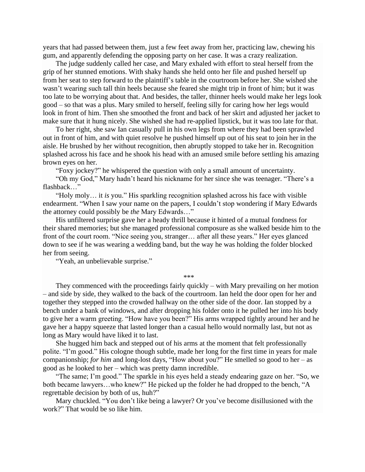years that had passed between them, just a few feet away from her, practicing law, chewing his gum, and apparently defending the opposing party on her case. It was a crazy realization.

The judge suddenly called her case, and Mary exhaled with effort to steal herself from the grip of her stunned emotions. With shaky hands she held onto her file and pushed herself up from her seat to step forward to the plaintiff's table in the courtroom before her. She wished she wasn't wearing such tall thin heels because she feared she might trip in front of him; but it was too late to be worrying about that. And besides, the taller, thinner heels would make her legs look good – so that was a plus. Mary smiled to herself, feeling silly for caring how her legs would look in front of him. Then she smoothed the front and back of her skirt and adjusted her jacket to make sure that it hung nicely. She wished she had re-applied lipstick, but it was too late for that.

To her right, she saw Ian casually pull in his own legs from where they had been sprawled out in front of him, and with quiet resolve he pushed himself up out of his seat to join her in the aisle. He brushed by her without recognition, then abruptly stopped to take her in. Recognition splashed across his face and he shook his head with an amused smile before settling his amazing brown eyes on her.

"Foxy jockey?" he whispered the question with only a small amount of uncertainty.

"Oh my God," Mary hadn't heard his nickname for her since she was teenager. "There's a flashback…"

"Holy moly… it *is* you." His sparkling recognition splashed across his face with visible endearment. "When I saw your name on the papers, I couldn't stop wondering if Mary Edwards the attorney could possibly be *the* Mary Edwards…"

His unfiltered surprise gave her a heady thrill because it hinted of a mutual fondness for their shared memories; but she managed professional composure as she walked beside him to the front of the court room. "Nice seeing you, stranger… after all these years." Her eyes glanced down to see if he was wearing a wedding band, but the way he was holding the folder blocked her from seeing.

"Yeah, an unbelievable surprise."

\*\*\*

They commenced with the proceedings fairly quickly – with Mary prevailing on her motion – and side by side, they walked to the back of the courtroom. Ian held the door open for her and together they stepped into the crowded hallway on the other side of the door. Ian stopped by a bench under a bank of windows, and after dropping his folder onto it he pulled her into his body to give her a warm greeting. "How have you been?" His arms wrapped tightly around her and he gave her a happy squeeze that lasted longer than a casual hello would normally last, but not as long as Mary would have liked it to last.

She hugged him back and stepped out of his arms at the moment that felt professionally polite. "I'm good." His cologne though subtle, made her long for the first time in years for male companionship; *for him* and long-lost days, "How about you?" He smelled so good to her – as good as he looked to her – which was pretty damn incredible.

"The same; I'm good." The sparkle in his eyes held a steady endearing gaze on her. "So, we both became lawyers…who knew?" He picked up the folder he had dropped to the bench, "A regrettable decision by both of us, huh?"

Mary chuckled. "You don't like being a lawyer? Or you've become disillusioned with the work?" That would be so like him.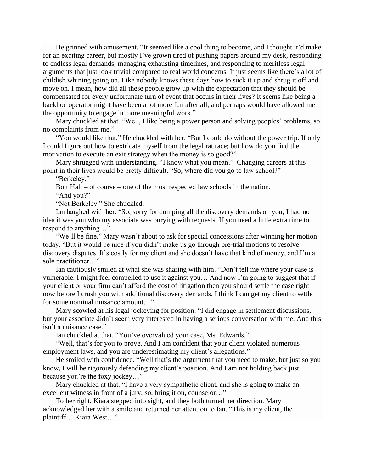He grinned with amusement. "It seemed like a cool thing to become, and I thought it'd make for an exciting career, but mostly I've grown tired of pushing papers around my desk, responding to endless legal demands, managing exhausting timelines, and responding to meritless legal arguments that just look trivial compared to real world concerns. It just seems like there's a lot of childish whining going on. Like nobody knows these days how to suck it up and shrug it off and move on. I mean, how did all these people grow up with the expectation that they should be compensated for every unfortunate turn of event that occurs in their lives? It seems like being a backhoe operator might have been a lot more fun after all, and perhaps would have allowed me the opportunity to engage in more meaningful work."

Mary chuckled at that. "Well, I like being a power person and solving peoples' problems, so no complaints from me."

"You would like that." He chuckled with her. "But I could do without the power trip. If only I could figure out how to extricate myself from the legal rat race; but how do you find the motivation to execute an exit strategy when the money is so good?"

Mary shrugged with understanding. "I know what you mean." Changing careers at this point in their lives would be pretty difficult. "So, where did you go to law school?"

"Berkeley."

Bolt Hall – of course – one of the most respected law schools in the nation.

"And you?"

"Not Berkeley." She chuckled.

Ian laughed with her. "So, sorry for dumping all the discovery demands on you; I had no idea it was you who my associate was burying with requests. If you need a little extra time to respond to anything…"

"We'll be fine." Mary wasn't about to ask for special concessions after winning her motion today. "But it would be nice if you didn't make us go through pre-trial motions to resolve discovery disputes. It's costly for my client and she doesn't have that kind of money, and I'm a sole practitioner…"

Ian cautiously smiled at what she was sharing with him. "Don't tell me where your case is vulnerable. I might feel compelled to use it against you… And now I'm going to suggest that if your client or your firm can't afford the cost of litigation then you should settle the case right now before I crush you with additional discovery demands. I think I can get my client to settle for some nominal nuisance amount…"

Mary scowled at his legal jockeying for position. "I did engage in settlement discussions, but your associate didn't seem very interested in having a serious conversation with me. And this isn't a nuisance case."

Ian chuckled at that. "You've overvalued your case, Ms. Edwards."

"Well, that's for you to prove. And I am confident that your client violated numerous employment laws, and you are underestimating my client's allegations."

He smiled with confidence. "Well that's the argument that you need to make, but just so you know, I will be rigorously defending my client's position. And I am not holding back just because you're the foxy jockey…"

Mary chuckled at that. "I have a very sympathetic client, and she is going to make an excellent witness in front of a jury; so, bring it on, counselor…"

To her right, Kiara stepped into sight, and they both turned her direction. Mary acknowledged her with a smile and returned her attention to Ian. "This is my client, the plaintiff… Kiara West…"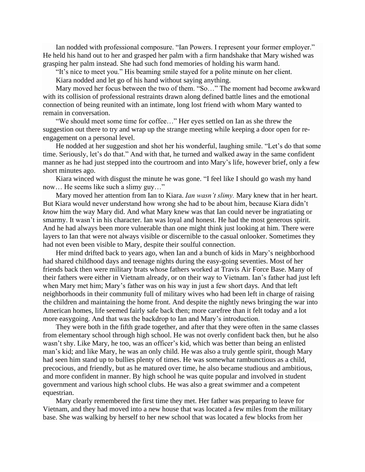Ian nodded with professional composure. "Ian Powers. I represent your former employer." He held his hand out to her and grasped her palm with a firm handshake that Mary wished was grasping her palm instead. She had such fond memories of holding his warm hand.

"It's nice to meet you." His beaming smile stayed for a polite minute on her client.

Kiara nodded and let go of his hand without saying anything.

Mary moved her focus between the two of them. "So…" The moment had become awkward with its collision of professional restraints drawn along defined battle lines and the emotional connection of being reunited with an intimate, long lost friend with whom Mary wanted to remain in conversation.

"We should meet some time for coffee…" Her eyes settled on Ian as she threw the suggestion out there to try and wrap up the strange meeting while keeping a door open for reengagement on a personal level.

He nodded at her suggestion and shot her his wonderful, laughing smile. "Let's do that some time. Seriously, let's do that." And with that, he turned and walked away in the same confident manner as he had just stepped into the courtroom and into Mary's life, however brief, only a few short minutes ago.

Kiara winced with disgust the minute he was gone. "I feel like I should go wash my hand now… He seems like such a slimy guy…"

Mary moved her attention from Ian to Kiara. *Ian wasn't slimy.* Mary knew that in her heart. But Kiara would never understand how wrong she had to be about him, because Kiara didn't *know* him the way Mary did. And what Mary knew was that Ian could never be ingratiating or smarmy. It wasn't in his character. Ian was loyal and honest. He had the most generous spirit. And he had always been more vulnerable than one might think just looking at him. There were layers to Ian that were not always visible or discernible to the casual onlooker. Sometimes they had not even been visible to Mary, despite their soulful connection.

Her mind drifted back to years ago, when Ian and a bunch of kids in Mary's neighborhood had shared childhood days and teenage nights during the easy-going seventies. Most of her friends back then were military brats whose fathers worked at Travis Air Force Base. Many of their fathers were either in Vietnam already, or on their way to Vietnam. Ian's father had just left when Mary met him; Mary's father was on his way in just a few short days. And that left neighborhoods in their community full of military wives who had been left in charge of raising the children and maintaining the home front. And despite the nightly news bringing the war into American homes, life seemed fairly safe back then; more carefree than it felt today and a lot more easygoing. And that was the backdrop to Ian and Mary's introduction.

They were both in the fifth grade together, and after that they were often in the same classes from elementary school through high school. He was not overly confident back then, but he also wasn't shy. Like Mary, he too, was an officer's kid, which was better than being an enlisted man's kid; and like Mary, he was an only child. He was also a truly gentle spirit, though Mary had seen him stand up to bullies plenty of times. He was somewhat rambunctious as a child, precocious, and friendly, but as he matured over time, he also became studious and ambitious, and more confident in manner. By high school he was quite popular and involved in student government and various high school clubs. He was also a great swimmer and a competent equestrian.

Mary clearly remembered the first time they met. Her father was preparing to leave for Vietnam, and they had moved into a new house that was located a few miles from the military base. She was walking by herself to her new school that was located a few blocks from her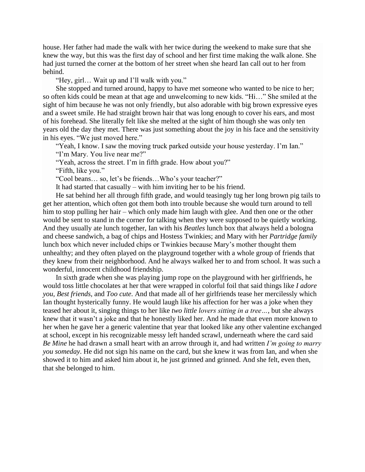house. Her father had made the walk with her twice during the weekend to make sure that she knew the way, but this was the first day of school and her first time making the walk alone. She had just turned the corner at the bottom of her street when she heard Ian call out to her from behind.

"Hey, girl… Wait up and I'll walk with you."

She stopped and turned around, happy to have met someone who wanted to be nice to her; so often kids could be mean at that age and unwelcoming to new kids. "Hi…" She smiled at the sight of him because he was not only friendly, but also adorable with big brown expressive eyes and a sweet smile. He had straight brown hair that was long enough to cover his ears, and most of his forehead. She literally felt like she melted at the sight of him though she was only ten years old the day they met. There was just something about the joy in his face and the sensitivity in his eyes. "We just moved here."

"Yeah, I know. I saw the moving truck parked outside your house yesterday. I'm Ian." "I'm Mary. You live near me?"

"Yeah, across the street. I'm in fifth grade. How about you?"

"Fifth, like you."

"Cool beans… so, let's be friends…Who's your teacher?"

It had started that casually – with him inviting her to be his friend.

He sat behind her all through fifth grade, and would teasingly tug her long brown pig tails to get her attention, which often got them both into trouble because she would turn around to tell him to stop pulling her hair – which only made him laugh with glee. And then one or the other would be sent to stand in the corner for talking when they were supposed to be quietly working. And they usually ate lunch together, Ian with his *Beatles* lunch box that always held a bologna and cheese sandwich, a bag of chips and Hostess Twinkies; and Mary with her *Partridge family* lunch box which never included chips or Twinkies because Mary's mother thought them unhealthy; and they often played on the playground together with a whole group of friends that they knew from their neighborhood. And he always walked her to and from school. It was such a wonderful, innocent childhood friendship.

In sixth grade when she was playing jump rope on the playground with her girlfriends, he would toss little chocolates at her that were wrapped in colorful foil that said things like *I adore you, Best friends,* and *Too cute*. And that made all of her girlfriends tease her mercilessly which Ian thought hysterically funny. He would laugh like his affection for her was a joke when they teased her about it, singing things to her like *two little lovers sitting in a tree…*, but she always knew that it wasn't a joke and that he honestly liked her. And he made that even more known to her when he gave her a generic valentine that year that looked like any other valentine exchanged at school, except in his recognizable messy left handed scrawl, underneath where the card said *Be Mine* he had drawn a small heart with an arrow through it, and had written *I'm going to marry you someday*. He did not sign his name on the card, but she knew it was from Ian, and when she showed it to him and asked him about it, he just grinned and grinned. And she felt, even then, that she belonged to him.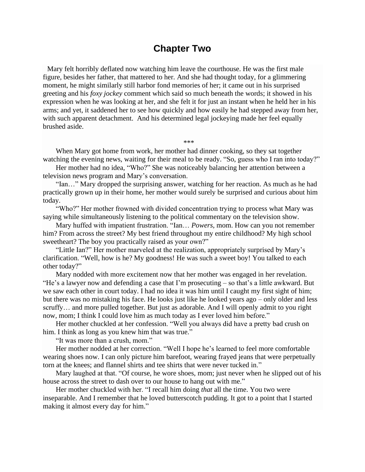#### **Chapter Two**

<span id="page-12-0"></span>Mary felt horribly deflated now watching him leave the courthouse. He was the first male figure, besides her father, that mattered to her. And she had thought today, for a glimmering moment, he might similarly still harbor fond memories of her; it came out in his surprised greeting and his *foxy jockey* comment which said so much beneath the words; it showed in his expression when he was looking at her, and she felt it for just an instant when he held her in his arms; and yet, it saddened her to see how quickly and how easily he had stepped away from her, with such apparent detachment. And his determined legal jockeying made her feel equally brushed aside.

\*\*\*

When Mary got home from work, her mother had dinner cooking, so they sat together watching the evening news, waiting for their meal to be ready. "So, guess who I ran into today?"

Her mother had no idea, "Who?" She was noticeably balancing her attention between a television news program and Mary's conversation.

"Ian…" Mary dropped the surprising answer, watching for her reaction. As much as he had practically grown up in their home, her mother would surely be surprised and curious about him today.

"Who?" Her mother frowned with divided concentration trying to process what Mary was saying while simultaneously listening to the political commentary on the television show.

Mary huffed with impatient frustration. "Ian… *Powers,* mom. How can you not remember him? From across the street? My best friend throughout my entire childhood? My high school sweetheart? The boy you practically raised as your own?"

"Little Ian?" Her mother marveled at the realization, appropriately surprised by Mary's clarification. "Well, how is he? My goodness! He was such a sweet boy! You talked to each other today?"

Mary nodded with more excitement now that her mother was engaged in her revelation. "He's a lawyer now and defending a case that I'm prosecuting – so that's a little awkward. But we saw each other in court today. I had no idea it was him until I caught my first sight of him; but there was no mistaking his face. He looks just like he looked years ago – only older and less scruffy… and more pulled together. But just as adorable. And I will openly admit to you right now, mom; I think I could love him as much today as I ever loved him before."

Her mother chuckled at her confession. "Well you always did have a pretty bad crush on him. I think as long as you knew him that was true."

"It was more than a crush, mom."

Her mother nodded at her correction. "Well I hope he's learned to feel more comfortable wearing shoes now. I can only picture him barefoot, wearing frayed jeans that were perpetually torn at the knees; and flannel shirts and tee shirts that were never tucked in."

Mary laughed at that. "Of course, he wore shoes, mom; just never when he slipped out of his house across the street to dash over to our house to hang out with me."

Her mother chuckled with her. "I recall him doing *that* all the time. You two were inseparable. And I remember that he loved butterscotch pudding. It got to a point that I started making it almost every day for him."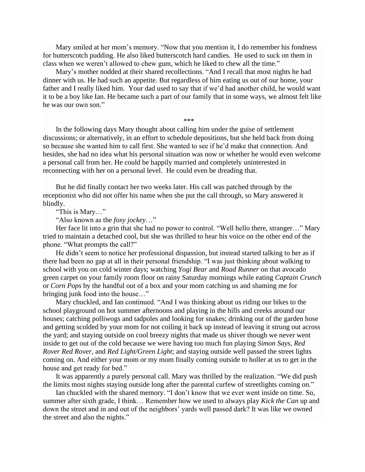Mary smiled at her mom's memory. "Now that you mention it, I do remember his fondness for butterscotch pudding. He also liked butterscotch hard candies. He used to suck on them in class when we weren't allowed to chew gum, which he liked to chew all the time."

Mary's mother nodded at their shared recollections. "And I recall that most nights he had dinner with us. He had such an appetite. But regardless of him eating us out of our home, your father and I really liked him. Your dad used to say that if we'd had another child, he would want it to be a boy like Ian. He became such a part of our family that in some ways, we almost felt like he was our own son."

\*\*\*

In the following days Mary thought about calling him under the guise of settlement discussions; or alternatively, in an effort to schedule depositions, but she held back from doing so because she wanted him to call first. She wanted to see if he'd make that connection. And besides, she had no idea what his personal situation was now or whether he would even welcome a personal call from her. He could be happily married and completely uninterested in reconnecting with her on a personal level. He could even be dreading that.

But he did finally contact her two weeks later. His call was patched through by the receptionist who did not offer his name when she put the call through, so Mary answered it blindly.

"This is Mary…"

"Also known as the *foxy jockey*…"

Her face lit into a grin that she had no power to control. "Well hello there, stranger..." Mary tried to maintain a detached cool, but she was thrilled to hear his voice on the other end of the phone. "What prompts the call?"

He didn't seem to notice her professional dispassion, but instead started talking to her as if there had been no gap at all in their personal friendship. "I was just thinking about walking to school with you on cold winter days; watching *Yogi Bear* and *Road Runner* on that avocado green carpet on your family room floor on rainy Saturday mornings while eating *Captain Crunch* or *Corn Pops* by the handful out of a box and your mom catching us and shaming me for bringing junk food into the house…"

Mary chuckled, and Ian continued. "And I was thinking about us riding our bikes to the school playground on hot summer afternoons and playing in the hills and creeks around our houses; catching polliwogs and tadpoles and looking for snakes; drinking out of the garden hose and getting scolded by your mom for not coiling it back up instead of leaving it strung out across the yard; and staying outside on cool breezy nights that made us shiver though we never went inside to get out of the cold because we were having too much fun playing *Simon Says*, *Red Rover Red Rover*, and *Red Light/Green Light*; and staying outside well passed the street lights coming on. And either your mom or my mom finally coming outside to holler at us to get in the house and get ready for bed."

It was apparently a purely personal call. Mary was thrilled by the realization. "We did push the limits most nights staying outside long after the parental curfew of streetlights coming on."

Ian chuckled with the shared memory. "I don't know that we ever went inside on time. So, summer after sixth grade, I think… Remember how we used to always play *Kick the Can* up and down the street and in and out of the neighbors' yards well passed dark? It was like we owned the street and also the nights."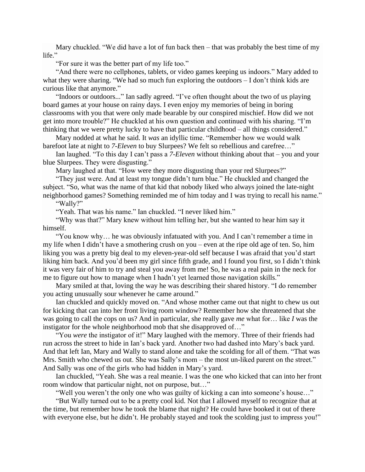Mary chuckled. "We did have a lot of fun back then – that was probably the best time of my life."

"For sure it was the better part of my life too."

"And there were no cellphones, tablets, or video games keeping us indoors." Mary added to what they were sharing. "We had so much fun exploring the outdoors – I don't think kids are curious like that anymore."

"Indoors or outdoors..." Ian sadly agreed. "I've often thought about the two of us playing board games at your house on rainy days. I even enjoy my memories of being in boring classrooms with you that were only made bearable by our conspired mischief. How did we not get into more trouble?" He chuckled at his own question and continued with his sharing. "I'm thinking that we were pretty lucky to have that particular childhood – all things considered."

Mary nodded at what he said. It *was* an idyllic time. "Remember how we would walk barefoot late at night to *7-Eleven* to buy Slurpees? We felt so rebellious and carefree…"

Ian laughed. "To this day I can't pass a *7-Eleven* without thinking about that – you and your blue Slurpees. They were disgusting."

Mary laughed at that. "How were they more disgusting than your red Slurpees?"

"They just were. And at least my tongue didn't turn blue." He chuckled and changed the subject. "So, what was the name of that kid that nobody liked who always joined the late-night neighborhood games? Something reminded me of him today and I was trying to recall his name."

"Wally?"

"Yeah. That was his name." Ian chuckled. "I never liked him."

"Why was that?" Mary knew without him telling her, but she wanted to hear him say it himself.

"You know why… he was obviously infatuated with you. And I can't remember a time in my life when I didn't have a smothering crush on you – even at the ripe old age of ten. So, him liking you was a pretty big deal to my eleven-year-old self because I was afraid that you'd start liking him back. And you'd been my girl since fifth grade, and I found you first, so I didn't think it was very fair of him to try and steal you away from me! So, he was a real pain in the neck for me to figure out how to manage when I hadn't yet learned those navigation skills."

Mary smiled at that, loving the way he was describing their shared history. "I do remember you acting unusually sour whenever he came around."

Ian chuckled and quickly moved on. "And whose mother came out that night to chew us out for kicking that can into her front living room window? Remember how she threatened that she was going to call the cops on us? And in particular, she really gave *me* what for… like *I* was the instigator for the whole neighborhood mob that she disapproved of…"

"You *were* the instigator of it!" Mary laughed with the memory. Three of their friends had run across the street to hide in Ian's back yard. Another two had dashed into Mary's back yard. And that left Ian, Mary and Wally to stand alone and take the scolding for all of them. "That was Mrs. Smith who chewed us out. She was Sally's mom – the most un-liked parent on the street." And Sally was one of the girls who had hidden in Mary's yard.

Ian chuckled, "Yeah. She was a real meanie. I was the one who kicked that can into her front room window that particular night, not on purpose, but…"

"Well you weren't the only one who was guilty of kicking a can into someone's house…"

"But Wally turned out to be a pretty cool kid. Not that I allowed myself to recognize that at the time, but remember how he took the blame that night? He could have booked it out of there with everyone else, but he didn't. He probably stayed and took the scolding just to impress you!"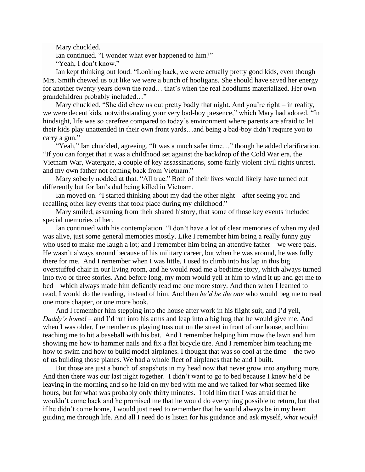Mary chuckled.

Ian continued. "I wonder what ever happened to him?"

"Yeah, I don't know."

Ian kept thinking out loud. "Looking back, we were actually pretty good kids, even though Mrs. Smith chewed us out like we were a bunch of hooligans. She should have saved her energy for another twenty years down the road… that's when the real hoodlums materialized. Her own grandchildren probably included…"

Mary chuckled. "She did chew us out pretty badly that night. And you're right – in reality, we were decent kids, notwithstanding your very bad-boy presence," which Mary had adored. "In hindsight, life was so carefree compared to today's environment where parents are afraid to let their kids play unattended in their own front yards…and being a bad-boy didn't require you to carry a gun."

"Yeah," Ian chuckled, agreeing. "It was a much safer time…" though he added clarification. "If you can forget that it was a childhood set against the backdrop of the Cold War era, the Vietnam War, Watergate, a couple of key assassinations, some fairly violent civil rights unrest, and my own father not coming back from Vietnam."

Mary soberly nodded at that. "All true." Both of their lives would likely have turned out differently but for Ian's dad being killed in Vietnam.

Ian moved on. "I started thinking about my dad the other night – after seeing you and recalling other key events that took place during my childhood."

Mary smiled, assuming from their shared history, that some of those key events included special memories of her.

Ian continued with his contemplation. "I don't have a lot of clear memories of when my dad was alive, just some general memories mostly. Like I remember him being a really funny guy who used to make me laugh a lot; and I remember him being an attentive father – we were pals. He wasn't always around because of his military career, but when he was around, he was fully there for me. And I remember when I was little, I used to climb into his lap in this big overstuffed chair in our living room, and he would read me a bedtime story, which always turned into two or three stories. And before long, my mom would yell at him to wind it up and get me to bed – which always made him defiantly read me one more story. And then when I learned to read, I would do the reading, instead of him. And then *he'd be the one* who would beg me to read one more chapter, or one more book.

And I remember him stepping into the house after work in his flight suit, and I'd yell, *Daddy's home! –* and I'd run into his arms and leap into a big hug that he would give me. And when I was older, I remember us playing toss out on the street in front of our house, and him teaching me to hit a baseball with his bat. And I remember helping him mow the lawn and him showing me how to hammer nails and fix a flat bicycle tire. And I remember him teaching me how to swim and how to build model airplanes. I thought that was so cool at the time – the two of us building those planes. We had a whole fleet of airplanes that he and I built.

But those are just a bunch of snapshots in my head now that never grow into anything more. And then there was our last night together. I didn't want to go to bed because I knew he'd be leaving in the morning and so he laid on my bed with me and we talked for what seemed like hours, but for what was probably only thirty minutes. I told him that I was afraid that he wouldn't come back and he promised me that he would do everything possible to return, but that if he didn't come home, I would just need to remember that he would always be in my heart guiding me through life. And all I need do is listen for his guidance and ask myself, *what would*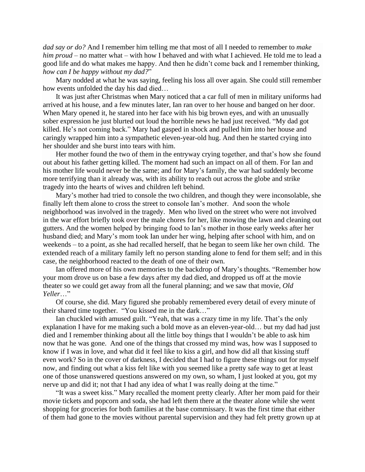*dad say or do?* And I remember him telling me that most of all I needed to remember to *make him proud* – no matter what – with how I behaved and with what I achieved. He told me to lead a good life and do what makes me happy. And then he didn't come back and I remember thinking, *how can I be happy without my dad?*"

Mary nodded at what he was saying, feeling his loss all over again. She could still remember how events unfolded the day his dad died…

It was just after Christmas when Mary noticed that a car full of men in military uniforms had arrived at his house, and a few minutes later, Ian ran over to her house and banged on her door. When Mary opened it, he stared into her face with his big brown eyes, and with an unusually sober expression he just blurted out loud the horrible news he had just received. "My dad got killed. He's not coming back." Mary had gasped in shock and pulled him into her house and caringly wrapped him into a sympathetic eleven-year-old hug. And then he started crying into her shoulder and she burst into tears with him.

Her mother found the two of them in the entryway crying together, and that's how she found out about his father getting killed. The moment had such an impact on all of them. For Ian and his mother life would never be the same; and for Mary's family, the war had suddenly become more terrifying than it already was, with its ability to reach out across the globe and strike tragedy into the hearts of wives and children left behind.

Mary's mother had tried to console the two children, and though they were inconsolable, she finally left them alone to cross the street to console Ian's mother. And soon the whole neighborhood was involved in the tragedy. Men who lived on the street who were not involved in the war effort briefly took over the male chores for her, like mowing the lawn and cleaning out gutters. And the women helped by bringing food to Ian's mother in those early weeks after her husband died; and Mary's mom took Ian under her wing, helping after school with him, and on weekends – to a point, as she had recalled herself, that he began to seem like her own child. The extended reach of a military family left no person standing alone to fend for them self; and in this case, the neighborhood reacted to the death of one of their own.

Ian offered more of his own memories to the backdrop of Mary's thoughts. "Remember how your mom drove us on base a few days after my dad died, and dropped us off at the movie theater so we could get away from all the funeral planning; and we saw that movie, *Old Yeller*…"

Of course, she did. Mary figured she probably remembered every detail of every minute of their shared time together. "You kissed me in the dark…"

Ian chuckled with amused guilt. "Yeah, that was a crazy time in my life. That's the only explanation I have for me making such a bold move as an eleven-year-old… but my dad had just died and I remember thinking about all the little boy things that I wouldn't be able to ask him now that he was gone. And one of the things that crossed my mind was, how was I supposed to know if I was in love, and what did it feel like to kiss a girl, and how did all that kissing stuff even work? So in the cover of darkness, I decided that I had to figure these things out for myself now, and finding out what a kiss felt like with you seemed like a pretty safe way to get at least one of those unanswered questions answered on my own, so wham, I just looked at you, got my nerve up and did it; not that I had any idea of what I was really doing at the time."

"It was a sweet kiss." Mary recalled the moment pretty clearly. After her mom paid for their movie tickets and popcorn and soda, she had left them there at the theater alone while she went shopping for groceries for both families at the base commissary. It was the first time that either of them had gone to the movies without parental supervision and they had felt pretty grown up at